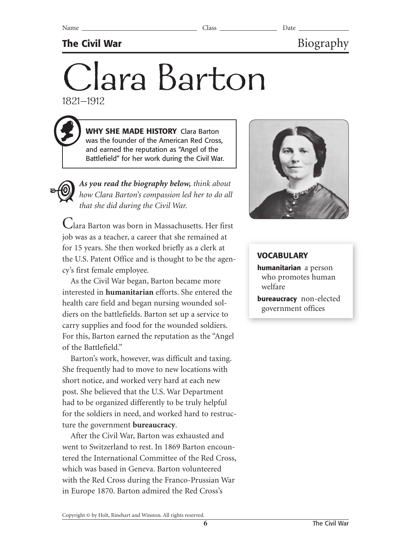## **The Civil War** Biography

# Clara Barton 1821–1912

**WHY SHE MADE HISTORY** Clara Barton was the founder of the American Red Cross, and earned the reputation as "Angel of the Battlefield" for her work during the Civil War.

*As you read the biography below, think about how Clara Barton's compassion led her to do all that she did during the Civil War.*

Clara Barton was born in Massachusetts. Her first job was as a teacher, a career that she remained at for 15 years. She then worked briefly as a clerk at the U.S. Patent Office and is thought to be the agency's first female employee.

As the Civil War began, Barton became more interested in **humanitarian** efforts. She entered the health care field and began nursing wounded soldiers on the battlefields. Barton set up a service to carry supplies and food for the wounded soldiers. For this, Barton earned the reputation as the "Angel of the Battlefield."

Barton's work, however, was difficult and taxing. She frequently had to move to new locations with short notice, and worked very hard at each new post. She believed that the U.S. War Department had to be organized differently to be truly helpful for the soldiers in need, and worked hard to restructure the government **bureaucracy**.

After the Civil War, Barton was exhausted and went to Switzerland to rest. In 1869 Barton encountered the International Committee of the Red Cross, which was based in Geneva. Barton volunteered with the Red Cross during the Franco-Prussian War in Europe 1870. Barton admired the Red Cross's



### **VOCABULARY**

**humanitarian** a person who promotes human welfare

**bureaucracy** non-elected government offices

Copyright © by Holt, Rinehart and Winston. All rights reserved.